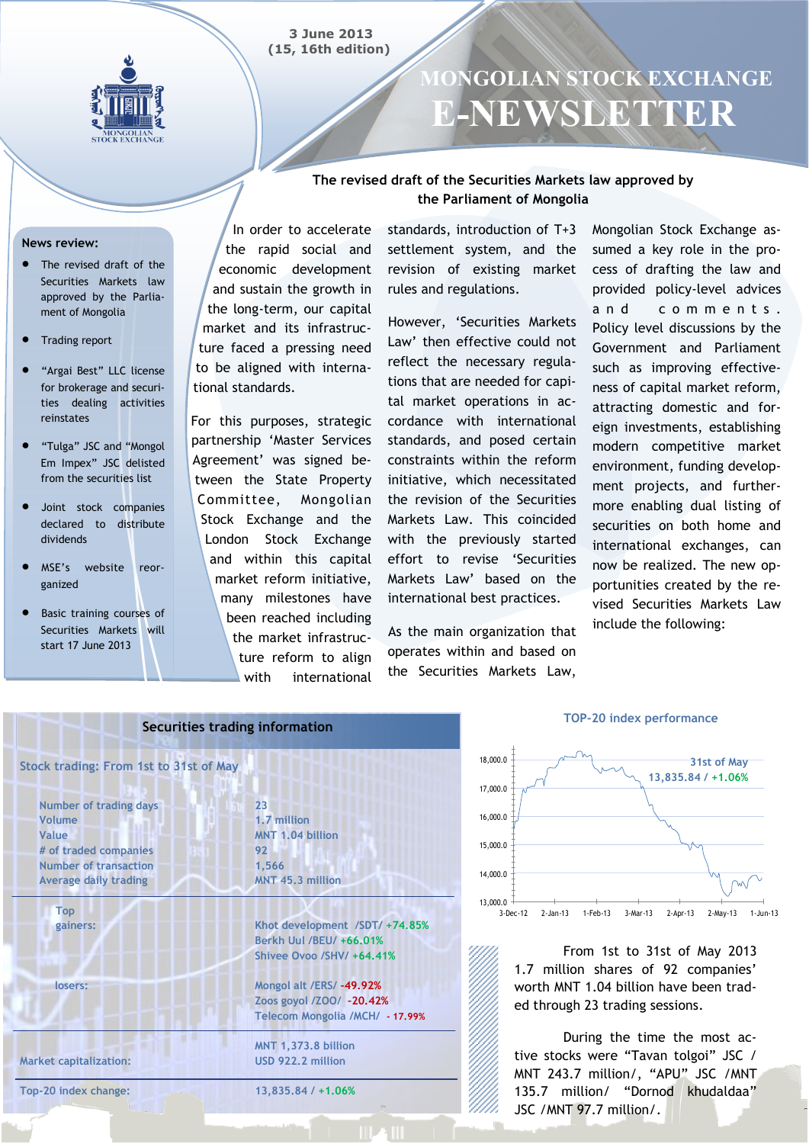



# **MONGOLIAN STOCK EXCHANGE E-NEWSLETTER**

### **The revised draft of the Securities Markets law approved by the Parliament of Mongolia**

#### **News review:**

- The revised draft of the Securities Markets law approved by the Parliament of Mongolia
- Trading report
- "Argai Best" LLC license for brokerage and securities dealing activities reinstates
- "Tulga" JSC and "Mongol Em Impex" JSC delisted from the securities list
- Joint stock companies declared to distribute dividends
- MSE's website reorganized
- Basic training courses of Securities Markets will start 17 June 2013

In order to accelerate the rapid social and economic development and sustain the growth in the long-term, our capital market and its infrastructure faced a pressing need to be aligned with international standards.

For this purposes, strategic partnership 'Master Services Agreement' was signed between the State Property Committee, Mongolian Stock Exchange and the London Stock Exchange and within this capital market reform initiative, many milestones have been reached including the market infrastructure reform to align with international standards, introduction of T+3 settlement system, and the revision of existing market rules and regulations.

However, 'Securities Markets Law' then effective could not reflect the necessary regulations that are needed for capital market operations in accordance with international standards, and posed certain constraints within the reform initiative, which necessitated the revision of the Securities Markets Law. This coincided with the previously started effort to revise 'Securities Markets Law' based on the international best practices.

As the main organization that operates within and based on the Securities Markets Law,

Mongolian Stock Exchange assumed a key role in the process of drafting the law and provided policy-level advices and comments. Policy level discussions by the Government and Parliament such as improving effectiveness of capital market reform, attracting domestic and foreign investments, establishing modern competitive market environment, funding development projects, and furthermore enabling dual listing of securities on both home and international exchanges, can now be realized. The new opportunities created by the revised Securities Markets Law include the following:

| Securities trading information         |                                                                                        |  |  |  |  |  |  |  |  |
|----------------------------------------|----------------------------------------------------------------------------------------|--|--|--|--|--|--|--|--|
| Stock trading: From 1st to 31st of May |                                                                                        |  |  |  |  |  |  |  |  |
| <b>Number of trading days</b>          | 2 <sub>3</sub>                                                                         |  |  |  |  |  |  |  |  |
| Volume                                 | 1.7 million                                                                            |  |  |  |  |  |  |  |  |
| Value                                  | MNT 1.04 billion                                                                       |  |  |  |  |  |  |  |  |
| # of traded companies                  | 92                                                                                     |  |  |  |  |  |  |  |  |
| <b>Number of transaction</b>           | 1,566                                                                                  |  |  |  |  |  |  |  |  |
| <b>Average daily trading</b>           | MNT 45.3 million                                                                       |  |  |  |  |  |  |  |  |
| <b>Top</b><br>gainers:                 | Khot development /SDT/ +74.85%<br>Berkh Uul /BEU/ +66.01%<br>Shivee Ovoo /SHV/ +64.41% |  |  |  |  |  |  |  |  |
| losers:                                | Mongol alt /ERS/ -49.92%                                                               |  |  |  |  |  |  |  |  |
|                                        | Zoos goyol /ZOO/ -20.42%                                                               |  |  |  |  |  |  |  |  |
|                                        | Telecom Mongolia /MCH/ - 17.99%                                                        |  |  |  |  |  |  |  |  |
|                                        | <b>MNT 1,373.8 billion</b>                                                             |  |  |  |  |  |  |  |  |
| <b>Market capitalization:</b>          | USD 922.2 million                                                                      |  |  |  |  |  |  |  |  |
| Top-20 index change:                   | $13,835,84/+1,06%$                                                                     |  |  |  |  |  |  |  |  |
|                                        |                                                                                        |  |  |  |  |  |  |  |  |

#### **TOP-20 index performance**



From 1st to 31st of May 2013 1.7 million shares of 92 companies' worth MNT 1.04 billion have been traded through 23 trading sessions.

During the time the most active stocks were "Tavan tolgoi" JSC / MNT 243.7 million/, "APU" JSC /MNT 135.7 million/ "Dornod khudaldaa" JSC /MNT 97.7 million/.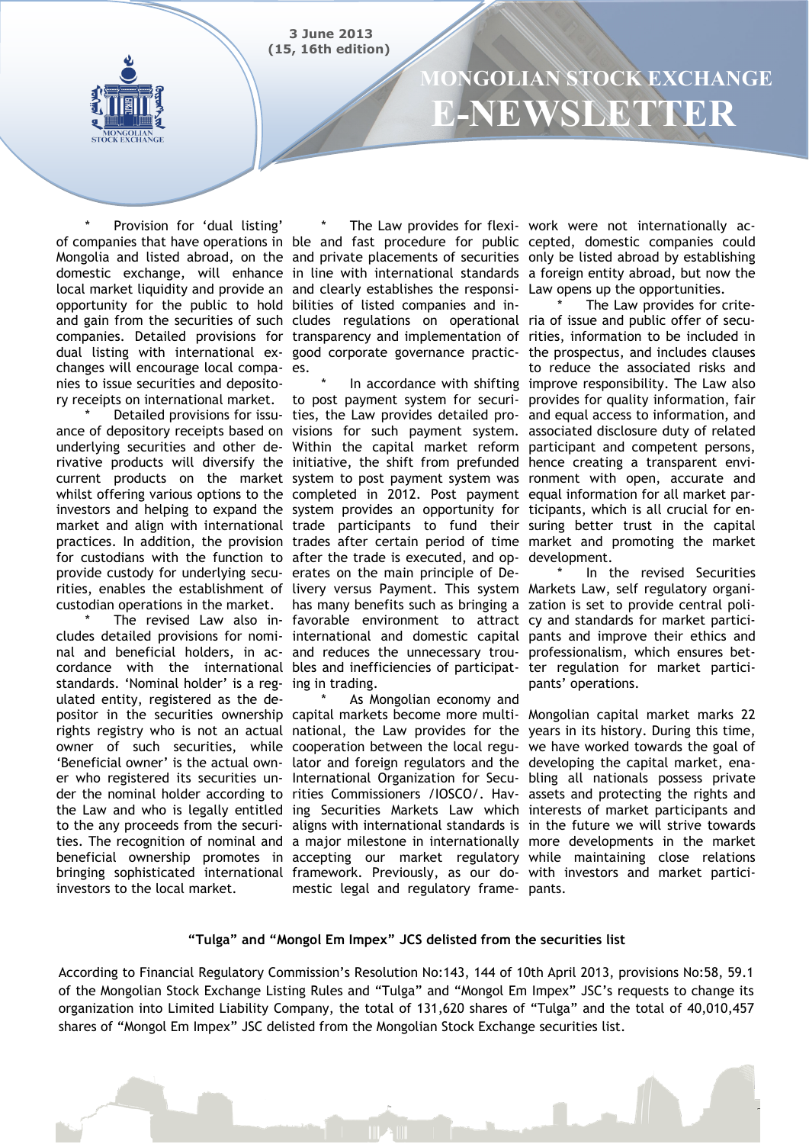**3 June 2013 (15, 16th edition)**



# **MONGOLIAN STOCK EXCHANGE E-NEWSLETTER**

Provision for 'dual listing' of companies that have operations in ble and fast procedure for public cepted, domestic companies could Mongolia and listed abroad, on the and private placements of securities only be listed abroad by establishing domestic exchange, will enhance in line with international standards a foreign entity abroad, but now the local market liquidity and provide an and clearly establishes the responsi- Law opens up the opportunities. opportunity for the public to hold bilities of listed companies and inand gain from the securities of such cludes regulations on operational ria of issue and public offer of secucompanies. Detailed provisions for transparency and implementation of rities, information to be included in dual listing with international ex-good corporate governance practic-the prospectus, and includes clauses changes will encourage local compa-es. nies to issue securities and depository receipts on international market.

ance of depository receipts based on visions for such payment system. associated disclosure duty of related underlying securities and other de-Within the capital market reform participant and competent persons, rivative products will diversify the initiative, the shift from prefunded hence creating a transparent envicurrent products on the market system to post payment system was ronment with open, accurate and whilst offering various options to the completed in 2012. Post payment equal information for all market parinvestors and helping to expand the system provides an opportunity for ticipants, which is all crucial for enmarket and align with international trade participants to fund their suring better trust in the capital practices. In addition, the provision trades after certain period of time market and promoting the market for custodians with the function to after the trade is executed, and op-development. provide custody for underlying secu-erates on the main principle of Derities, enables the establishment of livery versus Payment. This system Markets Law, self regulatory organicustodian operations in the market. has many benefits such as bringing a zation is set to provide central poli-

cludes detailed provisions for nomi- international and domestic capital pants and improve their ethics and nal and beneficial holders, in ac- and reduces the unnecessary trou- professionalism, which ensures betcordance with the international bles and inefficiencies of participat-ter regulation for market particistandards. 'Nominal holder' is a reg-ing in trading. ulated entity, registered as the depositor in the securities ownership capital markets become more multi- Mongolian capital market marks 22 rights registry who is not an actual national, the Law provides for the years in its history. During this time, owner of such securities, while cooperation between the local regu-we have worked towards the goal of 'Beneficial owner' is the actual own- lator and foreign regulators and the developing the capital market, enaer who registered its securities un-International Organization for Secu-bling all nationals possess private der the nominal holder according to rities Commissioners /IOSCO/. Hav- assets and protecting the rights and the Law and who is legally entitled ing Securities Markets Law which interests of market participants and to the any proceeds from the securi- aligns with international standards is in the future we will strive towards ties. The recognition of nominal and a major milestone in internationally more developments in the market beneficial ownership promotes in accepting our market regulatory while maintaining close relations bringing sophisticated international framework. Previously, as our do-with investors and market particiinvestors to the local market.

\* Detailed provisions for issu- ties, the Law provides detailed pro- and equal access to information, and \* The revised Law also in-favorable environment to attract cy and standards for market particito post payment system for securi-provides for quality information, fair

> As Mongolian economy and mestic legal and regulatory frame-pants.

\* The Law provides for flexi-work were not internationally ac-

\* In accordance with shifting improve responsibility. The Law also The Law provides for criteto reduce the associated risks and

> In the revised Securities pants' operations.

#### **"Tulga" and "Mongol Em Impex" JCS delisted from the securities list**

According to Financial Regulatory Commission's Resolution No:143, 144 of 10th April 2013, provisions No:58, 59.1 of the Mongolian Stock Exchange Listing Rules and "Tulga" and "Mongol Em Impex" JSC's requests to change its organization into Limited Liability Company, the total of 131,620 shares of "Tulga" and the total of 40,010,457 shares of "Mongol Em Impex" JSC delisted from the Mongolian Stock Exchange securities list.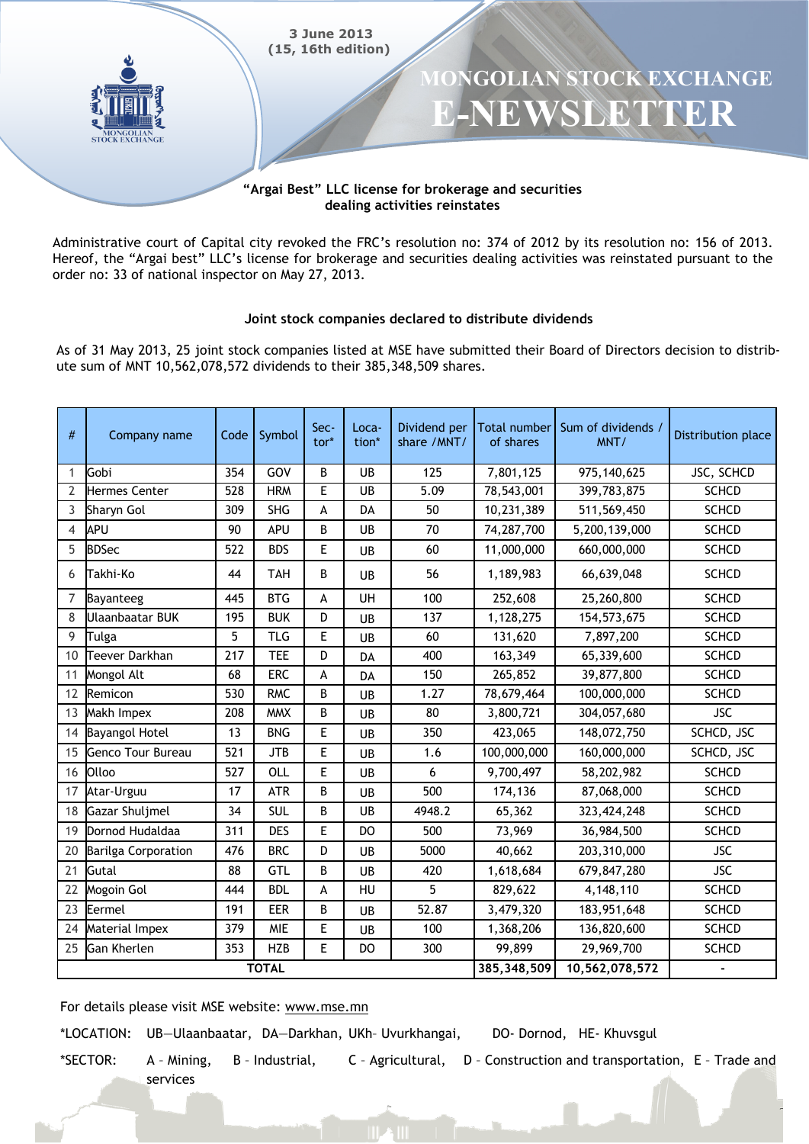

Administrative court of Capital city revoked the FRC's resolution no: 374 of 2012 by its resolution no: 156 of 2013. Hereof, the "Argai best" LLC's license for brokerage and securities dealing activities was reinstated pursuant to the order no: 33 of national inspector on May 27, 2013.

### Joint stock companies declared to distribute dividends

As of 31 May 2013, 25 joint stock companies listed at MSE have submitted their Board of Directors decision to distribute sum of MNT 10,562,078,572 dividends to their 385,348,509 shares.

| #            | Company name               | Code | Symbol     | Sec-<br>$tor*$ | Loca-<br>tion* | Dividend per<br>share /MNT/ | <b>Total number</b><br>of shares | Sum of dividends /<br>MNT/ | Distribution place |
|--------------|----------------------------|------|------------|----------------|----------------|-----------------------------|----------------------------------|----------------------------|--------------------|
| 1            | Gobi                       | 354  | GOV        | B              | UB             | 125                         | 7,801,125                        | 975,140,625                | JSC, SCHCD         |
| 2            | Hermes Center              | 528  | <b>HRM</b> | E              | UB             | 5.09                        | 78,543,001                       | 399,783,875                | <b>SCHCD</b>       |
| 3            | Sharyn Gol                 | 309  | <b>SHG</b> | A              | DA             | 50                          | 10,231,389                       | 511,569,450                | <b>SCHCD</b>       |
| 4            | APU                        | 90   | APU        | B              | UB             | 70                          | 74,287,700                       | 5,200,139,000              | <b>SCHCD</b>       |
| 5            | <b>BDSec</b>               | 522  | <b>BDS</b> | E              | UB             | 60                          | 11,000,000                       | 660,000,000                | <b>SCHCD</b>       |
| 6            | Takhi-Ko                   | 44   | <b>TAH</b> | B              | UB             | 56                          | 1,189,983                        | 66,639,048                 | <b>SCHCD</b>       |
| 7            | Bayanteeg                  | 445  | <b>BTG</b> | A              | UH             | 100                         | 252,608                          | 25,260,800                 | <b>SCHCD</b>       |
| 8            | <b>Ulaanbaatar BUK</b>     | 195  | <b>BUK</b> | D              | UB             | 137                         | 1,128,275                        | 154,573,675                | <b>SCHCD</b>       |
| 9            | Tulga                      | 5    | <b>TLG</b> | E              | UB             | 60                          | 131,620                          | 7,897,200                  | <b>SCHCD</b>       |
| 10           | <b>Teever Darkhan</b>      | 217  | <b>TEE</b> | D              | DA             | 400                         | 163,349                          | 65,339,600                 | <b>SCHCD</b>       |
| 11           | Mongol Alt                 | 68   | <b>ERC</b> | A              | DA             | 150                         | 265,852                          | 39,877,800                 | <b>SCHCD</b>       |
| 12           | Remicon                    | 530  | <b>RMC</b> | B              | UB             | 1.27                        | 78,679,464                       | 100,000,000                | <b>SCHCD</b>       |
| 13           | Makh Impex                 | 208  | <b>MMX</b> | B              | UB             | 80                          | 3,800,721                        | 304,057,680                | <b>JSC</b>         |
| 14           | <b>Bayangol Hotel</b>      | 13   | <b>BNG</b> | E              | UB             | 350                         | 423,065                          | 148,072,750                | SCHCD, JSC         |
| 15           | <b>Genco Tour Bureau</b>   | 521  | <b>JTB</b> | E              | UB             | 1.6                         | 100,000,000                      | 160,000,000                | SCHCD, JSC         |
| 16           | Olloo                      | 527  | OLL        | E              | UB             | 6                           | 9,700,497                        | 58,202,982                 | <b>SCHCD</b>       |
| 17           | Atar-Urguu                 | 17   | <b>ATR</b> | B              | UB             | 500                         | 174,136                          | 87,068,000                 | <b>SCHCD</b>       |
| 18           | <b>Gazar Shuljmel</b>      | 34   | <b>SUL</b> | B              | UB             | 4948.2                      | 65,362                           | 323,424,248                | <b>SCHCD</b>       |
| 19           | Dornod Hudaldaa            | 311  | <b>DES</b> | E              | DO             | 500                         | 73,969                           | 36,984,500                 | <b>SCHCD</b>       |
| 20           | <b>Barilga Corporation</b> | 476  | <b>BRC</b> | D              | UB             | 5000                        | 40,662                           | 203,310,000                | <b>JSC</b>         |
| 21           | Gutal                      | 88   | <b>GTL</b> | B              | UB             | 420                         | 1,618,684                        | 679,847,280                | <b>JSC</b>         |
| 22           | Mogoin Gol                 | 444  | <b>BDL</b> | A              | HU             | 5                           | 829,622                          | 4,148,110                  | <b>SCHCD</b>       |
| 23           | Eermel                     | 191  | <b>EER</b> | B              | UB             | 52.87                       | 3,479,320                        | 183,951,648                | <b>SCHCD</b>       |
| 24           | Material Impex             | 379  | MIE        | E              | UB             | 100                         | 1,368,206                        | 136,820,600                | <b>SCHCD</b>       |
| 25           | <b>Gan Kherlen</b>         | 353  | <b>HZB</b> | E              | DO             | 300                         | 99,899                           | 29,969,700                 | <b>SCHCD</b>       |
| <b>TOTAL</b> |                            |      |            |                |                | 385, 348, 509               | 10,562,078,572                   |                            |                    |

For details please visit MSE website: www.mse.mn

\*LOCATION: UB-Ulaanbaatar, DA-Darkhan, UKh- Uvurkhangai,

DO- Dornod, HE- Khuvsgul

\*SECTOR:

- A Mining, services
- B Industrial,
- C Agricultural, D Construction and transportation, E Trade and